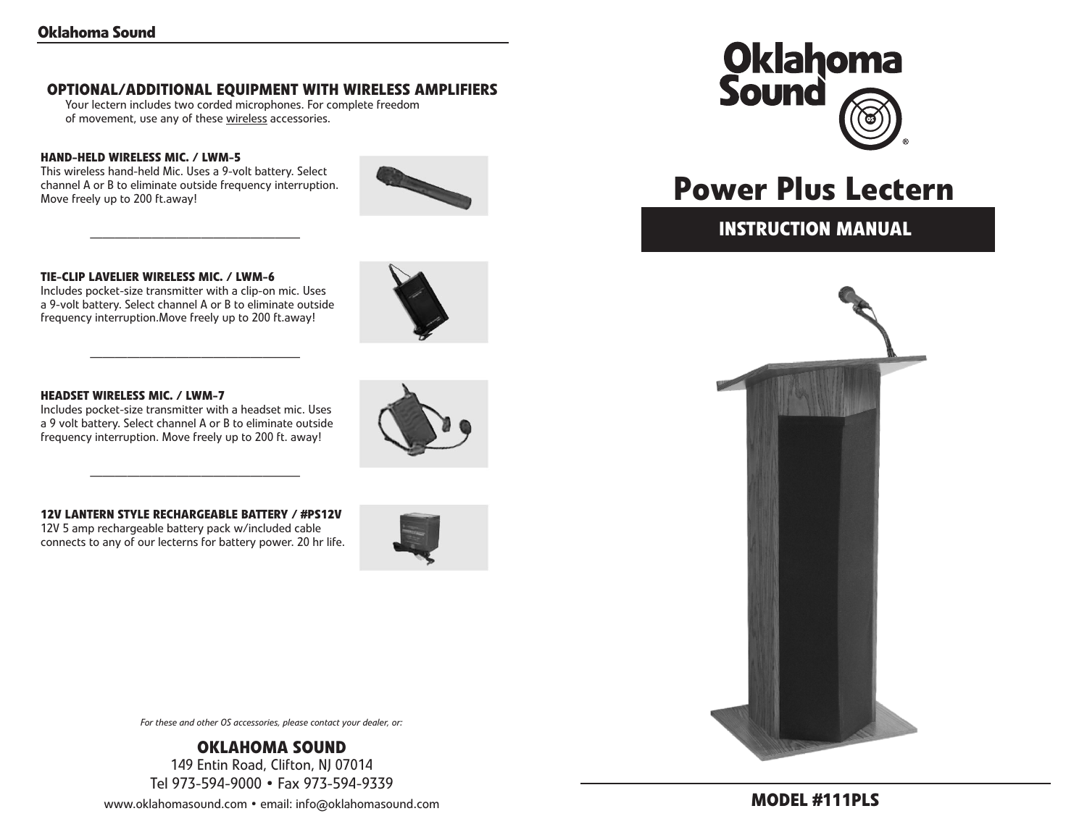# **OPTIONAL/ADDITIONAL EQUIPMENT WITH WIRELESS AMPLIFIERS**

Your lectern includes two corded microphones. For complete freedom of movement, use any of these wireless accessories.

# **HAND-HELD WIRELESS MIC. / LWM-5**

This wireless hand-held Mic. Uses a 9-volt battery. Select channel A or B to eliminate outside frequency interruption. Move freely up to 200 ft.away!

—————————————————



#### **TIE-CLIP LAVELIER WIRELESS MIC. / LWM-6**

Includes pocket-size transmitter with a clip-on mic. Uses a 9-volt battery. Select channel A or B to eliminate outside frequency interruption.Move freely up to 200 ft.away!

—————————————————

#### **HEADSET WIRELESS MIC. / LWM-7**

Includes pocket-size transmitter with a headset mic. Uses a 9 volt battery. Select channel A or B to eliminate outside frequency interruption. Move freely up to 200 ft. away!

#### **12V LANTERN STYLE RECHARGEABLE BATTERY / #PS12V**

—————————————————

12V 5 amp rechargeable battery pack w/included cable connects to any of our lecterns for battery power. 20 hr life.







# **Power Plus Lectern**

# **instruction Manual**



*For these and other OS accessories, please contact your dealer, or:*

**Oklahoma Sound** 149 Entin Road, Clifton, NJ 07014 Tel 973-594-9000 • Fax 973-594-9339

www.oklahomasound.com • email: info@oklahomasound.com

# **Model #111pls**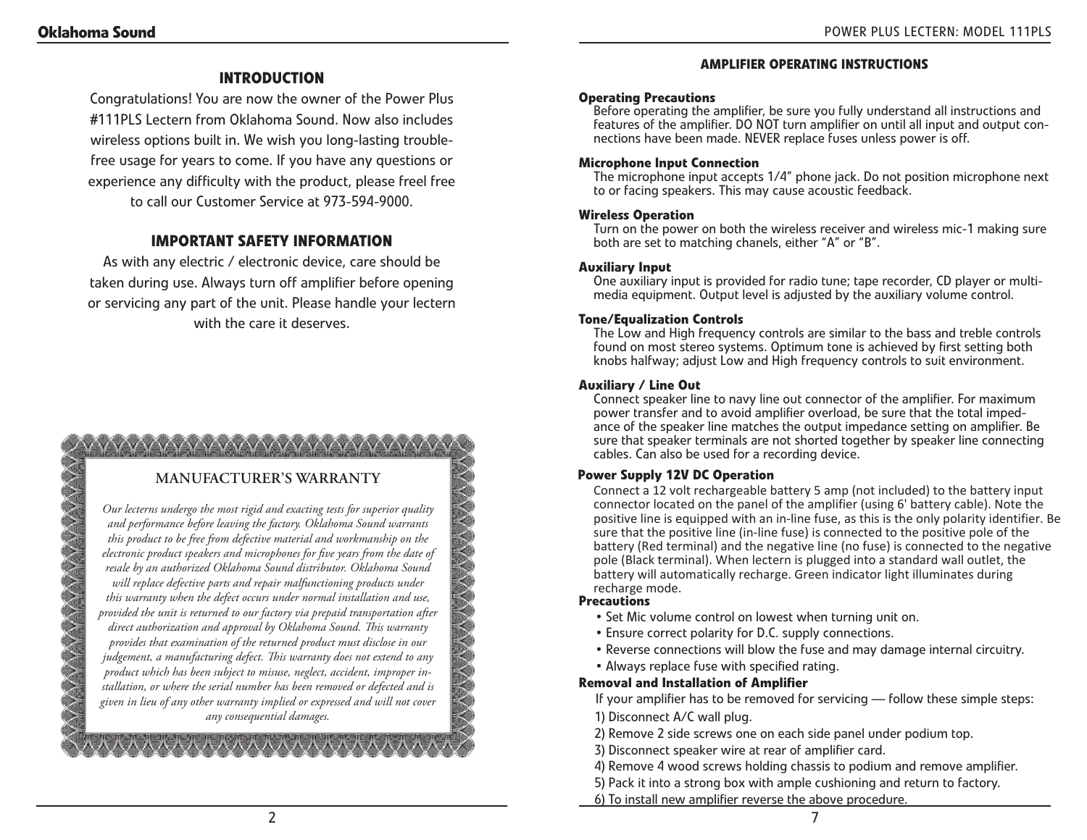# **Introduction**

Congratulations! You are now the owner of the Power Plus #111PLS Lectern from Oklahoma Sound. Now also includes wireless options built in. We wish you long-lasting troublefree usage for years to come. If you have any questions or experience any difficulty with the product, please freel free to call our Customer Service at 973-594-9000.

# **Important safety information**

As with any electric / electronic device, care should be taken during use. Always turn off amplifier before opening or servicing any part of the unit. Please handle your lectern with the care it deserves.

# **Manufacturer's Warranty**

*Our lecterns undergo the most rigid and exacting tests for superior quality and performance before leaving the factory. Oklahoma Sound warrants this product to be free from defective material and workmanship on the electronic product speakers and microphones for five years from the date of resale by an authorized Oklahoma Sound distributor. Oklahoma Sound will replace defective parts and repair malfunctioning products under this warranty when the defect occurs under normal installation and use, provided the unit is returned to our factory via prepaid transportation after direct authorization and approval by Oklahoma Sound. This warranty provides that examination of the returned product must disclose in our judgement, a manufacturing defect. This warranty does not extend to any product which has been subject to misuse, neglect, accident, improper installation, or where the serial number has been removed or defected and is given in lieu of any other warranty implied or expressed and will not cover any consequential damages.*

#### **Amplifier Operating Instructions**

#### **Operating Precautions**

Before operating the amplifier, be sure you fully understand all instructions and features of the amplifier. DO NOT turn amplifier on until all input and output connections have been made. NEVER replace fuses unless power is off.

#### **Microphone Input Connection**

The microphone input accepts 1/4" phone jack. Do not position microphone next to or facing speakers. This may cause acoustic feedback.

#### **Wireless Operation**

Turn on the power on both the wireless receiver and wireless mic-1 making sure both are set to matching chanels, either "A" or "B".

#### **Auxiliary Input**

One auxiliary input is provided for radio tune; tape recorder, CD player or multimedia equipment. Output level is adjusted by the auxiliary volume control.

#### **Tone/Equalization Controls**

The Low and High frequency controls are similar to the bass and treble controls found on most stereo systems. Optimum tone is achieved by first setting both knobs halfway; adjust Low and High frequency controls to suit environment.

# **Auxiliary / Line Out**

Connect speaker line to navy line out connector of the amplifier. For maximum power transfer and to avoid amplifier overload, be sure that the total impedance of the speaker line matches the output impedance setting on amplifier. Be sure that speaker terminals are not shorted together by speaker line connecting cables. Can also be used for a recording device.

## **Power Supply 12V DC Operation**

Connect a 12 volt rechargeable battery 5 amp (not included) to the battery input connector located on the panel of the amplifier (using 6' battery cable). Note the positive line is equipped with an in-line fuse, as this is the only polarity identifier. Be sure that the positive line (in-line fuse) is connected to the positive pole of the battery (Red terminal) and the negative line (no fuse) is connected to the negative pole (Black terminal). When lectern is plugged into a standard wall outlet, the battery will automatically recharge. Green indicator light illuminates during recharge mode.

#### **Precautions**

- Set Mic volume control on lowest when turning unit on.
- Ensure correct polarity for D.C. supply connections.
- Reverse connections will blow the fuse and may damage internal circuitry.
- Always replace fuse with specified rating.

#### **removal and installation of amplifier**

- If your amplifier has to be removed for servicing follow these simple steps:
- 1) Disconnect A/C wall plug.
- 2) Remove 2 side screws one on each side panel under podium top.
- 3) Disconnect speaker wire at rear of amplifier card.
- 4) Remove 4 wood screws holding chassis to podium and remove amplifier.
- 5) Pack it into a strong box with ample cushioning and return to factory.
- 6) To install new amplifier reverse the above procedure.

A A A A A A A A A A A A A A A A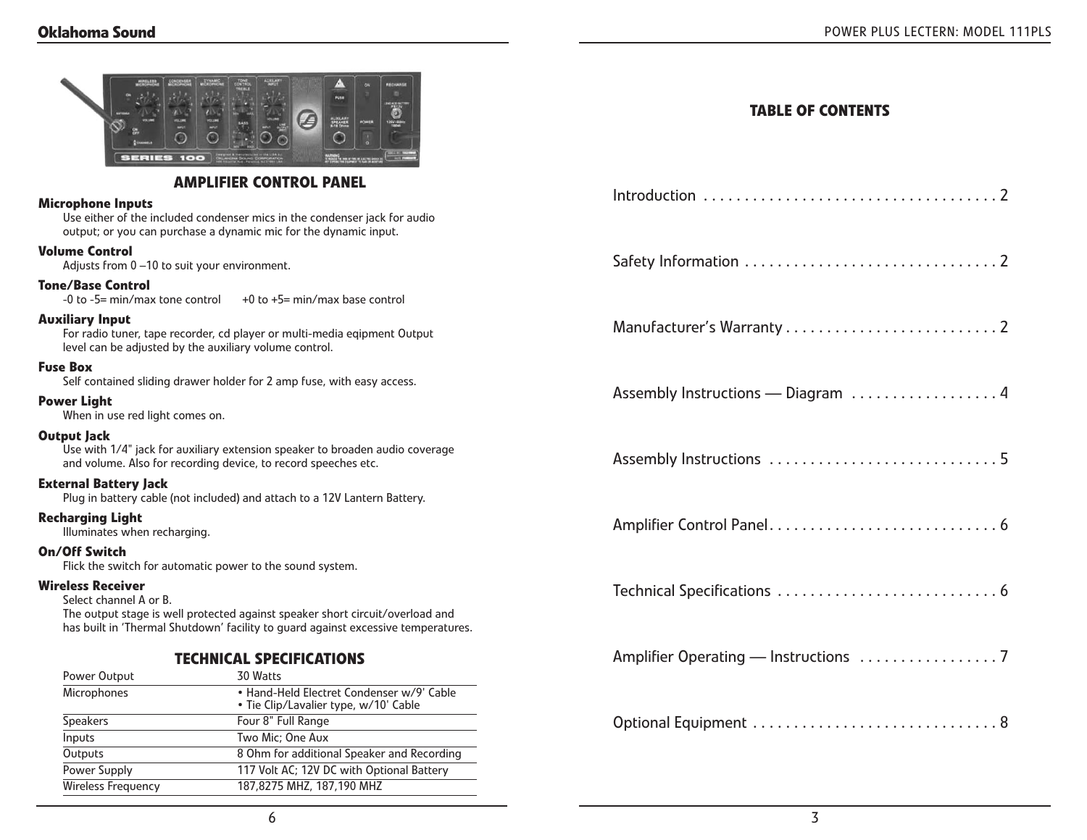| SERIES<br>100                                                                                                                                                                                                            | G<br>AUDILARY<br>SPEAKER                                                           | <b>TABLE OF CONTENTS</b> |
|--------------------------------------------------------------------------------------------------------------------------------------------------------------------------------------------------------------------------|------------------------------------------------------------------------------------|--------------------------|
|                                                                                                                                                                                                                          | <b>AMPLIFIER CONTROL PANEL</b>                                                     |                          |
| <b>Microphone Inputs</b><br>Use either of the included condenser mics in the condenser jack for audio<br>output; or you can purchase a dynamic mic for the dynamic input.                                                |                                                                                    |                          |
| <b>Volume Control</b><br>Adjusts from 0-10 to suit your environment.                                                                                                                                                     |                                                                                    |                          |
| Tone/Base Control                                                                                                                                                                                                        | -0 to -5= min/max tone control $+0$ to +5= min/max base control                    |                          |
| <b>Auxiliary Input</b><br>For radio tuner, tape recorder, cd player or multi-media eqipment Output<br>level can be adjusted by the auxiliary volume control.                                                             |                                                                                    |                          |
| <b>Fuse Box</b><br>Self contained sliding drawer holder for 2 amp fuse, with easy access.                                                                                                                                |                                                                                    |                          |
| <b>Power Light</b><br>When in use red light comes on.                                                                                                                                                                    |                                                                                    |                          |
| <b>Output Jack</b><br>Use with 1/4" jack for auxiliary extension speaker to broaden audio coverage<br>and volume. Also for recording device, to record speeches etc.                                                     |                                                                                    |                          |
| <b>External Battery Jack</b>                                                                                                                                                                                             | Plug in battery cable (not included) and attach to a 12V Lantern Battery.          |                          |
| <b>Recharging Light</b><br>Illuminates when recharging.                                                                                                                                                                  |                                                                                    |                          |
| On/Off Switch                                                                                                                                                                                                            | Flick the switch for automatic power to the sound system.                          |                          |
| <b>Wireless Receiver</b><br>Select channel A or B.<br>The output stage is well protected against speaker short circuit/overload and<br>has built in 'Thermal Shutdown' facility to guard against excessive temperatures. |                                                                                    |                          |
| <b>TECHNICAL SPECIFICATIONS</b>                                                                                                                                                                                          |                                                                                    |                          |
| Power Output                                                                                                                                                                                                             | 30 Watts                                                                           |                          |
| Microphones                                                                                                                                                                                                              | · Hand-Held Electret Condenser w/9' Cable<br>· Tie Clip/Lavalier type, w/10' Cable |                          |
| <b>Speakers</b>                                                                                                                                                                                                          | Four 8" Full Range                                                                 |                          |
| Inputs                                                                                                                                                                                                                   | Two Mic; One Aux                                                                   |                          |
| Outputs                                                                                                                                                                                                                  | 8 Ohm for additional Speaker and Recording                                         |                          |
| Power Supply                                                                                                                                                                                                             | 117 Volt AC; 12V DC with Optional Battery                                          |                          |
| <b>Wireless Frequency</b>                                                                                                                                                                                                | 187,8275 MHZ, 187,190 MHZ                                                          |                          |